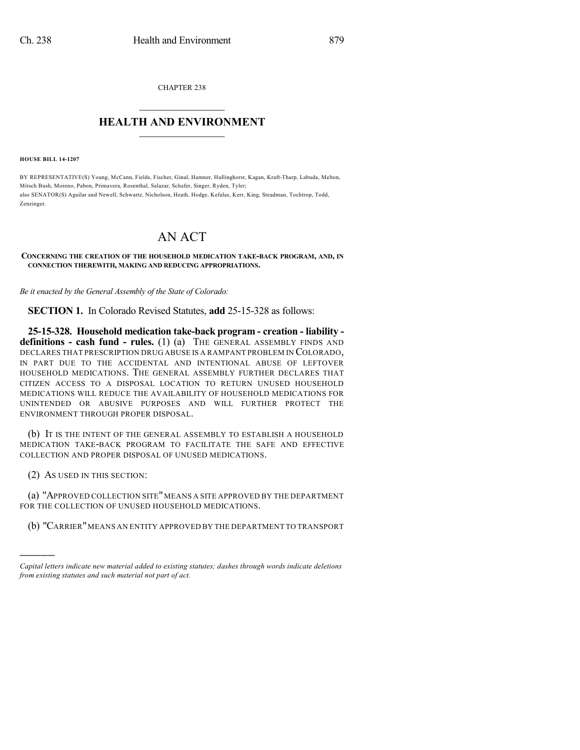CHAPTER 238

## $\mathcal{L}_\text{max}$  . The set of the set of the set of the set of the set of the set of the set of the set of the set of the set of the set of the set of the set of the set of the set of the set of the set of the set of the set **HEALTH AND ENVIRONMENT**  $\_$

**HOUSE BILL 14-1207**

BY REPRESENTATIVE(S) Young, McCann, Fields, Fischer, Ginal, Hamner, Hullinghorst, Kagan, Kraft-Tharp, Labuda, Melton, Mitsch Bush, Moreno, Pabon, Primavera, Rosenthal, Salazar, Schafer, Singer, Ryden, Tyler; also SENATOR(S) Aguilar and Newell, Schwartz, Nicholson, Heath, Hodge, Kefalas, Kerr, King, Steadman, Tochtrop, Todd, Zenzinger.

## AN ACT

## **CONCERNING THE CREATION OF THE HOUSEHOLD MEDICATION TAKE-BACK PROGRAM, AND, IN CONNECTION THEREWITH, MAKING AND REDUCING APPROPRIATIONS.**

*Be it enacted by the General Assembly of the State of Colorado:*

**SECTION 1.** In Colorado Revised Statutes, **add** 25-15-328 as follows:

**25-15-328. Household medication take-back program - creation - liability definitions - cash fund - rules.** (1) (a) THE GENERAL ASSEMBLY FINDS AND DECLARES THAT PRESCRIPTION DRUG ABUSE IS A RAMPANT PROBLEM IN COLORADO, IN PART DUE TO THE ACCIDENTAL AND INTENTIONAL ABUSE OF LEFTOVER HOUSEHOLD MEDICATIONS. THE GENERAL ASSEMBLY FURTHER DECLARES THAT CITIZEN ACCESS TO A DISPOSAL LOCATION TO RETURN UNUSED HOUSEHOLD MEDICATIONS WILL REDUCE THE AVAILABILITY OF HOUSEHOLD MEDICATIONS FOR UNINTENDED OR ABUSIVE PURPOSES AND WILL FURTHER PROTECT THE ENVIRONMENT THROUGH PROPER DISPOSAL.

(b) IT IS THE INTENT OF THE GENERAL ASSEMBLY TO ESTABLISH A HOUSEHOLD MEDICATION TAKE-BACK PROGRAM TO FACILITATE THE SAFE AND EFFECTIVE COLLECTION AND PROPER DISPOSAL OF UNUSED MEDICATIONS.

(2) AS USED IN THIS SECTION:

)))))

(a) "APPROVED COLLECTION SITE"MEANS A SITE APPROVED BY THE DEPARTMENT FOR THE COLLECTION OF UNUSED HOUSEHOLD MEDICATIONS.

(b) "CARRIER" MEANS AN ENTITY APPROVED BY THE DEPARTMENT TO TRANSPORT

*Capital letters indicate new material added to existing statutes; dashes through words indicate deletions from existing statutes and such material not part of act.*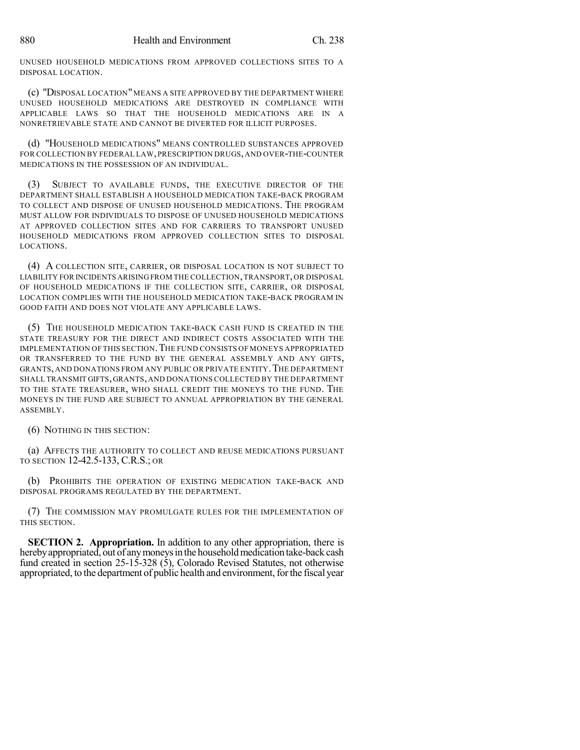UNUSED HOUSEHOLD MEDICATIONS FROM APPROVED COLLECTIONS SITES TO A DISPOSAL LOCATION.

(c) "DISPOSAL LOCATION"MEANS A SITE APPROVED BY THE DEPARTMENT WHERE UNUSED HOUSEHOLD MEDICATIONS ARE DESTROYED IN COMPLIANCE WITH APPLICABLE LAWS SO THAT THE HOUSEHOLD MEDICATIONS ARE IN A NONRETRIEVABLE STATE AND CANNOT BE DIVERTED FOR ILLICIT PURPOSES.

(d) "HOUSEHOLD MEDICATIONS" MEANS CONTROLLED SUBSTANCES APPROVED FOR COLLECTION BY FEDERAL LAW,PRESCRIPTION DRUGS,AND OVER-THE-COUNTER MEDICATIONS IN THE POSSESSION OF AN INDIVIDUAL.

(3) SUBJECT TO AVAILABLE FUNDS, THE EXECUTIVE DIRECTOR OF THE DEPARTMENT SHALL ESTABLISH A HOUSEHOLD MEDICATION TAKE-BACK PROGRAM TO COLLECT AND DISPOSE OF UNUSED HOUSEHOLD MEDICATIONS. THE PROGRAM MUST ALLOW FOR INDIVIDUALS TO DISPOSE OF UNUSED HOUSEHOLD MEDICATIONS AT APPROVED COLLECTION SITES AND FOR CARRIERS TO TRANSPORT UNUSED HOUSEHOLD MEDICATIONS FROM APPROVED COLLECTION SITES TO DISPOSAL LOCATIONS.

(4) A COLLECTION SITE, CARRIER, OR DISPOSAL LOCATION IS NOT SUBJECT TO LIABILITY FOR INCIDENTS ARISING FROM THE COLLECTION,TRANSPORT,OR DISPOSAL OF HOUSEHOLD MEDICATIONS IF THE COLLECTION SITE, CARRIER, OR DISPOSAL LOCATION COMPLIES WITH THE HOUSEHOLD MEDICATION TAKE-BACK PROGRAM IN GOOD FAITH AND DOES NOT VIOLATE ANY APPLICABLE LAWS.

(5) THE HOUSEHOLD MEDICATION TAKE-BACK CASH FUND IS CREATED IN THE STATE TREASURY FOR THE DIRECT AND INDIRECT COSTS ASSOCIATED WITH THE IMPLEMENTATION OF THIS SECTION. THE FUND CONSISTS OF MONEYS APPROPRIATED OR TRANSFERRED TO THE FUND BY THE GENERAL ASSEMBLY AND ANY GIFTS, GRANTS, AND DONATIONS FROM ANY PUBLIC OR PRIVATE ENTITY. THE DEPARTMENT SHALL TRANSMIT GIFTS,GRANTS,AND DONATIONS COLLECTED BY THE DEPARTMENT TO THE STATE TREASURER, WHO SHALL CREDIT THE MONEYS TO THE FUND. THE MONEYS IN THE FUND ARE SUBJECT TO ANNUAL APPROPRIATION BY THE GENERAL ASSEMBLY.

(6) NOTHING IN THIS SECTION:

(a) AFFECTS THE AUTHORITY TO COLLECT AND REUSE MEDICATIONS PURSUANT TO SECTION 12-42.5-133, C.R.S.; OR

(b) PROHIBITS THE OPERATION OF EXISTING MEDICATION TAKE-BACK AND DISPOSAL PROGRAMS REGULATED BY THE DEPARTMENT.

(7) THE COMMISSION MAY PROMULGATE RULES FOR THE IMPLEMENTATION OF THIS SECTION.

**SECTION 2. Appropriation.** In addition to any other appropriation, there is hereby appropriated, out of any moneys in the household medication take-back cash fund created in section 25-15-328 (5), Colorado Revised Statutes, not otherwise appropriated, to the department of public health and environment, for the fiscal year